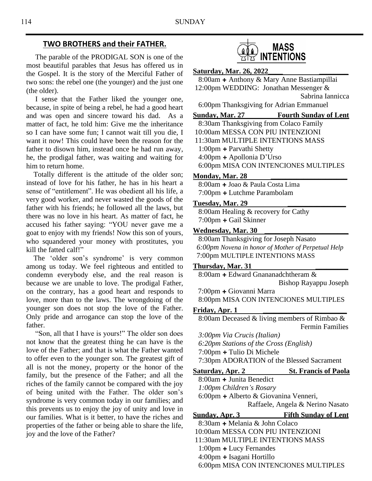## **TWO BROTHERS and their FATHER.**

 The parable of the PRODIGAL SON is one of the most beautiful parables that Jesus has offered us in the Gospel. It is the story of the Merciful Father of two sons: the rebel one (the younger) and the just one (the older).

 I sense that the Father liked the younger one, because, in spite of being a rebel, he had a good heart and was open and sincere toward his dad. As a matter of fact, he told him: Give me the inheritance so I can have some fun; I cannot wait till you die, I want it now! This could have been the reason for the father to disown him, instead once he had run away, he, the prodigal father, was waiting and waiting for him to return home.

 Totally different is the attitude of the older son; instead of love for his father, he has in his heart a sense of "entitlement". He was obedient all his life, a very good worker, and never wasted the goods of the father with his friends; he followed all the laws, but there was no love in his heart. As matter of fact, he accused his father saying: "YOU never gave me a goat to enjoy with my friends! Now this son of yours, who squandered your money with prostitutes, you kill the fatted calf!"

 The 'older son's syndrome' is very common among us today. We feel righteous and entitled to condemn everybody else, and the real reason is because we are unable to love. The prodigal Father, on the contrary, has a good heart and responds to love, more than to the laws. The wrongdoing of the younger son does not stop the love of the Father. Only pride and arrogance can stop the love of the father.

 "Son, all that I have is yours!" The older son does not know that the greatest thing he can have is the love of the Father; and that is what the Father wanted to offer even to the younger son. The greatest gift of all is not the money, property or the honor of the family, but the presence of the Father; and all the riches of the family cannot be compared with the joy of being united with the Father. The older son's syndrome is very common today in our families; and this prevents us to enjoy the joy of unity and love in our families. What is it better, to have the riches and properties of the father or being able to share the life, joy and the love of the Father?



## **Saturday, Mar. 26, 2022\_\_\_\_ \_\_\_\_\_\_\_\_**

8:00am **+** Anthony & Mary Anne Bastiampillai 12:00pm WEDDING: Jonathan Messenger &

Sabrina Iannicca

6:00pm Thanksgiving for Adrian Emmanuel

## **Sunday, Mar. 27 Fourth Sunday of Lent**

8:30am Thanksgiving from Colaco Family 10:00am MESSA CON PIU INTENZIONI 11:30am MULTIPLE INTENTIONS MASS 1:00pm **+** Parvathi Shetty 4:00pm **+** Apollonia D'Urso 6:00pm MISA CON INTENCIONES MULTIPLES

#### **Monday, Mar. 28 \_\_\_\_\_\_\_\_\_\_\_\_\_\_\_\_\_\_\_\_\_**

8:00am **+** Joao & Paula Costa Lima 7:00pm **+** Lutchme Parambolam

### **Tuesday, Mar. 29 \_\_\_\_\_\_\_\_\_\_\_\_\_\_\_\_**

8:00am Healing & recovery for Cathy 7:00pm **+** Gail Skinner

### **Wednesday, Mar. 30 \_\_\_\_\_\_\_\_\_\_\_\_\_\_\_\_\_\_\_\_\_\_\_**

8:00am Thanksgiving for Joseph Nasato *6:00pm Novena in honor of Mother of Perpetual Help* 7:00pm MULTIPLE INTENTIONS MASS

#### **Thursday, Mar. 31 \_\_\_\_\_\_\_\_\_**

 8:00am **+** Edward Gnananadchtheram & Bishop Rayappu Joseph

7:00pm **+** Giovanni Marra 8:00pm MISA CON INTENCIONES MULTIPLES

## **Friday, Apr. 1 \_\_\_\_\_\_\_\_\_\_\_\_\_\_\_\_\_\_\_\_\_\_\_**

8:00am Deceased & living members of Rimbao & Fermin Families

 *3:00pm Via Crucis (Italian)*

 *6:20pm Stations of the Cross (English)*

7:00pm **+** Tulio Di Michele

7:30pm ADORATION of the Blessed Sacrament

**Saturday, Apr. 2 St. Francis of Paola**

8:00am **+** Junita Benedict

 *1:00pm Children's Rosary*

6:00pm **+** Alberto & Giovanina Venneri,

Raffaele, Angela & Nerino Nasato

## **Sunday, Apr. 3 Fifth Sunday of Lent**

8:30am **+** Melania & John Colaco 10:00am MESSA CON PIU INTENZIONI 11:30am MULTIPLE INTENTIONS MASS 1:00pm **+** Lucy Fernandes 4:00pm **+** Isagani Hortillo 6:00pm MISA CON INTENCIONES MULTIPLES